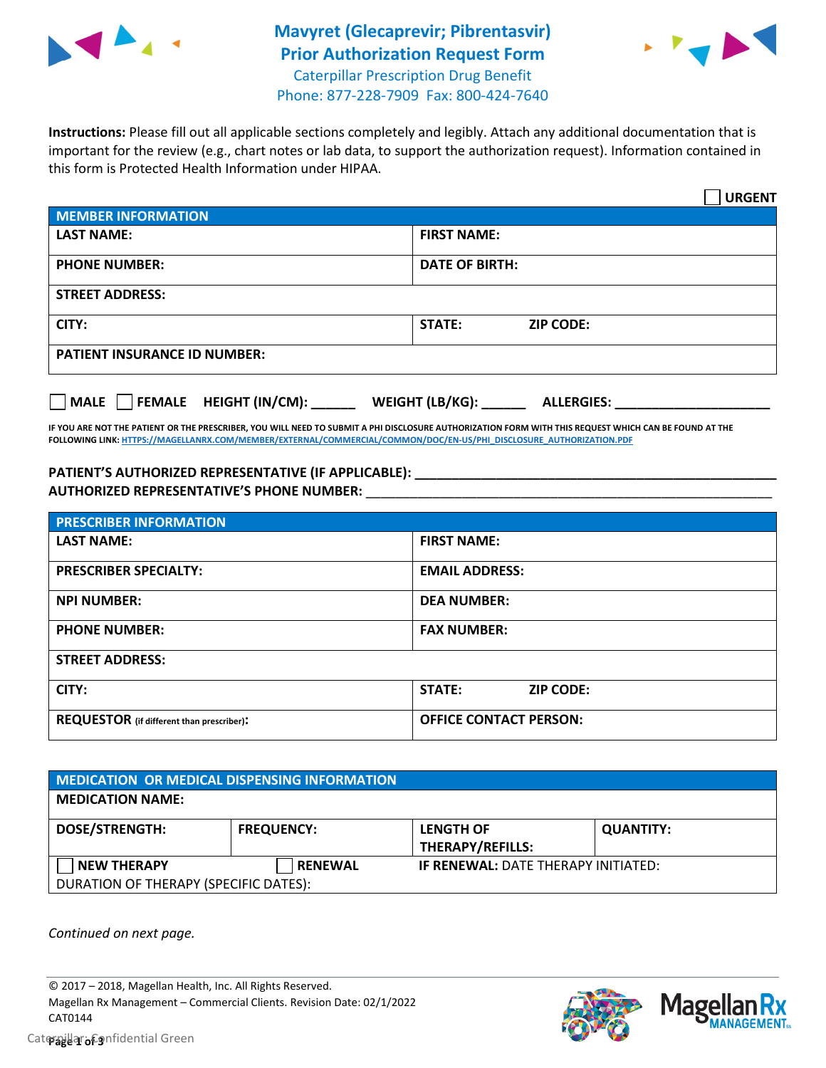

## **Mavyret (Glecaprevir; Pibrentasvir) Prior Authorization Request Form** Caterpillar Prescription Drug Benefit Phone: 877-228-7909 Fax: 800-424-7640



**Instructions:** Please fill out all applicable sections completely and legibly. Attach any additional documentation that is important for the review (e.g., chart notes or lab data, to support the authorization request). Information contained in this form is Protected Health Information under HIPAA.

|                                           | <b>URGENT</b>                        |  |
|-------------------------------------------|--------------------------------------|--|
| <b>MEMBER INFORMATION</b>                 |                                      |  |
| <b>LAST NAME:</b>                         | <b>FIRST NAME:</b>                   |  |
| <b>PHONE NUMBER:</b>                      | <b>DATE OF BIRTH:</b>                |  |
| <b>STREET ADDRESS:</b>                    |                                      |  |
| CITY:                                     | STATE:<br><b>ZIP CODE:</b>           |  |
| <b>PATIENT INSURANCE ID NUMBER:</b>       |                                      |  |
| $\Box$ MALE $\Box$ FEMALE HEIGHT (IN/CM): | WEIGHT (LB/KG):<br><b>ALLERGIES:</b> |  |

**IF YOU ARE NOT THE PATIENT OR THE PRESCRIBER, YOU WILL NEED TO SUBMIT A PHI DISCLOSURE AUTHORIZATION FORM WITH THIS REQUEST WHICH CAN BE FOUND AT THE FOLLOWING LINK[: HTTPS://MAGELLANRX.COM/MEMBER/EXTERNAL/COMMERCIAL/COMMON/DOC/EN-US/PHI\\_DISCLOSURE\\_AUTHORIZATION.PDF](https://magellanrx.com/member/external/commercial/common/doc/en-us/PHI_Disclosure_Authorization.pdf)**

## **PATIENT'S AUTHORIZED REPRESENTATIVE (IF APPLICABLE): \_\_\_\_\_\_\_\_\_\_\_\_\_\_\_\_\_\_\_\_\_\_\_\_\_\_\_\_\_\_\_\_\_\_\_\_\_\_\_\_\_\_\_\_\_\_\_\_\_ AUTHORIZED REPRESENTATIVE'S PHONE NUMBER:** \_\_\_\_\_\_\_\_\_\_\_\_\_\_\_\_\_\_\_\_\_\_\_\_\_\_\_\_\_\_\_\_\_\_\_\_\_\_\_\_\_\_\_\_\_\_\_\_\_\_\_\_\_\_\_

| <b>PRESCRIBER INFORMATION</b>             |                               |  |  |  |
|-------------------------------------------|-------------------------------|--|--|--|
| <b>LAST NAME:</b>                         | <b>FIRST NAME:</b>            |  |  |  |
| <b>PRESCRIBER SPECIALTY:</b>              | <b>EMAIL ADDRESS:</b>         |  |  |  |
| <b>NPI NUMBER:</b>                        | <b>DEA NUMBER:</b>            |  |  |  |
| <b>PHONE NUMBER:</b>                      | <b>FAX NUMBER:</b>            |  |  |  |
| <b>STREET ADDRESS:</b>                    |                               |  |  |  |
| CITY:                                     | STATE:<br><b>ZIP CODE:</b>    |  |  |  |
| REQUESTOR (if different than prescriber): | <b>OFFICE CONTACT PERSON:</b> |  |  |  |

| <b>MEDICATION OR MEDICAL DISPENSING INFORMATION</b> |                   |                                            |                  |  |
|-----------------------------------------------------|-------------------|--------------------------------------------|------------------|--|
| <b>MEDICATION NAME:</b>                             |                   |                                            |                  |  |
| <b>DOSE/STRENGTH:</b>                               | <b>FREQUENCY:</b> | <b>LENGTH OF</b>                           | <b>QUANTITY:</b> |  |
|                                                     |                   | THERAPY/REFILLS:                           |                  |  |
| <b>NEW THERAPY</b>                                  | <b>RENEWAL</b>    | <b>IF RENEWAL: DATE THERAPY INITIATED:</b> |                  |  |
| DURATION OF THERAPY (SPECIFIC DATES):               |                   |                                            |                  |  |

*Continued on next page.*

© 2017 – 2018, Magellan Health, Inc. All Rights Reserved. Magellan Rx Management – Commercial Clients. Revision Date: 02/1/2022 CAT0144



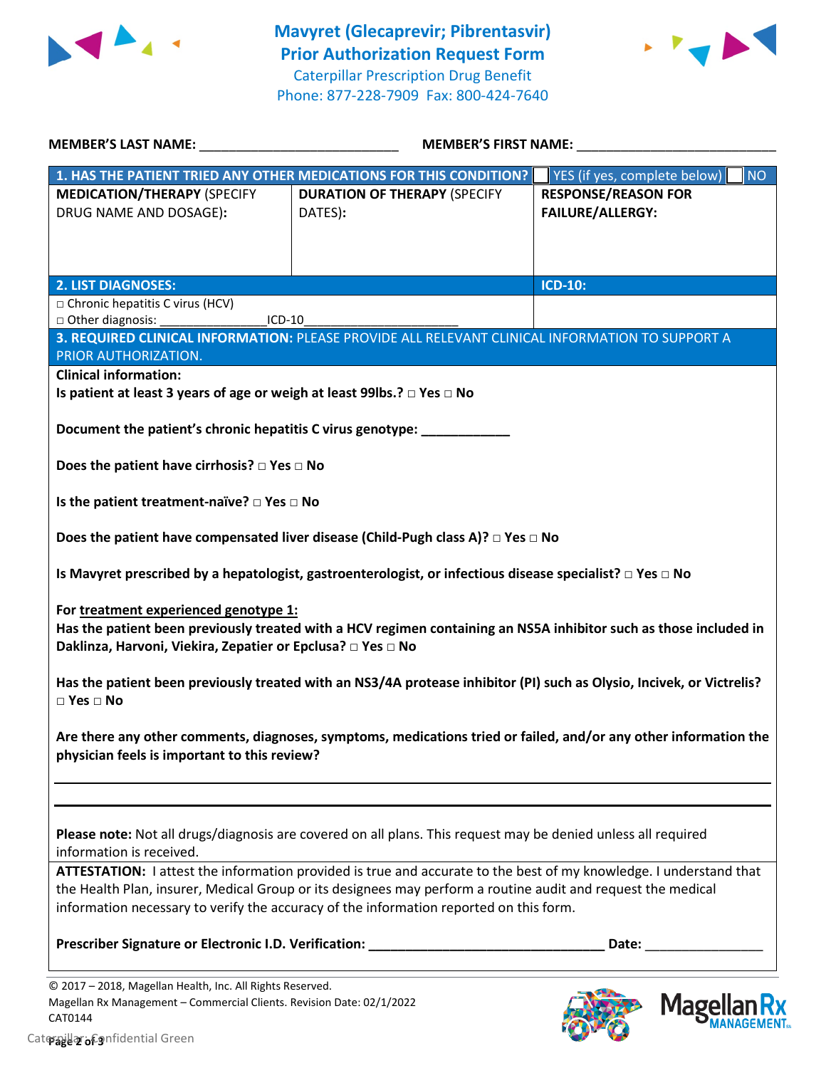



| <b>MEMBER'S LAST NAME:</b> NAME                                                                      | <b>MEMBER'S FIRST NAME:</b>                                                                                                                                                                            |                                                       |  |
|------------------------------------------------------------------------------------------------------|--------------------------------------------------------------------------------------------------------------------------------------------------------------------------------------------------------|-------------------------------------------------------|--|
|                                                                                                      | 1. HAS THE PATIENT TRIED ANY OTHER MEDICATIONS FOR THIS CONDITION?                                                                                                                                     | <b>NO</b><br>YES (if yes, complete below)             |  |
| <b>MEDICATION/THERAPY (SPECIFY</b><br>DRUG NAME AND DOSAGE):                                         | <b>DURATION OF THERAPY (SPECIFY</b><br>DATES):                                                                                                                                                         | <b>RESPONSE/REASON FOR</b><br><b>FAILURE/ALLERGY:</b> |  |
| <b>2. LIST DIAGNOSES:</b>                                                                            |                                                                                                                                                                                                        | ICD-10:                                               |  |
| $\Box$ Chronic hepatitis C virus (HCV)                                                               |                                                                                                                                                                                                        |                                                       |  |
| Other diagnosis:<br>$ICD-10$                                                                         |                                                                                                                                                                                                        |                                                       |  |
| PRIOR AUTHORIZATION.                                                                                 | 3. REQUIRED CLINICAL INFORMATION: PLEASE PROVIDE ALL RELEVANT CLINICAL INFORMATION TO SUPPORT A                                                                                                        |                                                       |  |
| <b>Clinical information:</b>                                                                         |                                                                                                                                                                                                        |                                                       |  |
| Is patient at least 3 years of age or weigh at least 99lbs.? □ Yes □ No                              |                                                                                                                                                                                                        |                                                       |  |
| Document the patient's chronic hepatitis C virus genotype: ____________                              |                                                                                                                                                                                                        |                                                       |  |
| Does the patient have cirrhosis? $\square$ Yes $\square$ No                                          |                                                                                                                                                                                                        |                                                       |  |
| Is the patient treatment-naïve? $\square$ Yes $\square$ No                                           |                                                                                                                                                                                                        |                                                       |  |
|                                                                                                      | Does the patient have compensated liver disease (Child-Pugh class A)? $\Box$ Yes $\Box$ No                                                                                                             |                                                       |  |
|                                                                                                      | Is Mavyret prescribed by a hepatologist, gastroenterologist, or infectious disease specialist? $\Box$ Yes $\Box$ No                                                                                    |                                                       |  |
| For treatment experienced genotype 1:<br>Daklinza, Harvoni, Viekira, Zepatier or Epclusa? □ Yes □ No | Has the patient been previously treated with a HCV regimen containing an NS5A inhibitor such as those included in                                                                                      |                                                       |  |
| $\square$ Yes $\square$ No                                                                           | Has the patient been previously treated with an NS3/4A protease inhibitor (PI) such as Olysio, Incivek, or Victrelis?                                                                                  |                                                       |  |
| physician feels is important to this review?                                                         | Are there any other comments, diagnoses, symptoms, medications tried or failed, and/or any other information the                                                                                       |                                                       |  |
|                                                                                                      |                                                                                                                                                                                                        |                                                       |  |
| information is received.                                                                             | Please note: Not all drugs/diagnosis are covered on all plans. This request may be denied unless all required                                                                                          |                                                       |  |
|                                                                                                      | ATTESTATION: I attest the information provided is true and accurate to the best of my knowledge. I understand that                                                                                     |                                                       |  |
|                                                                                                      | the Health Plan, insurer, Medical Group or its designees may perform a routine audit and request the medical<br>information necessary to verify the accuracy of the information reported on this form. |                                                       |  |
|                                                                                                      | Prescriber Signature or Electronic I.D. Verification: __________________________                                                                                                                       | Date:                                                 |  |
| © 2017 - 2018, Magellan Health, Inc. All Rights Reserved.                                            |                                                                                                                                                                                                        |                                                       |  |
| Magellan Rx Management - Commercial Clients. Revision Date: 02/1/2022<br>CAT0144                     |                                                                                                                                                                                                        | <b>Magella</b>                                        |  |